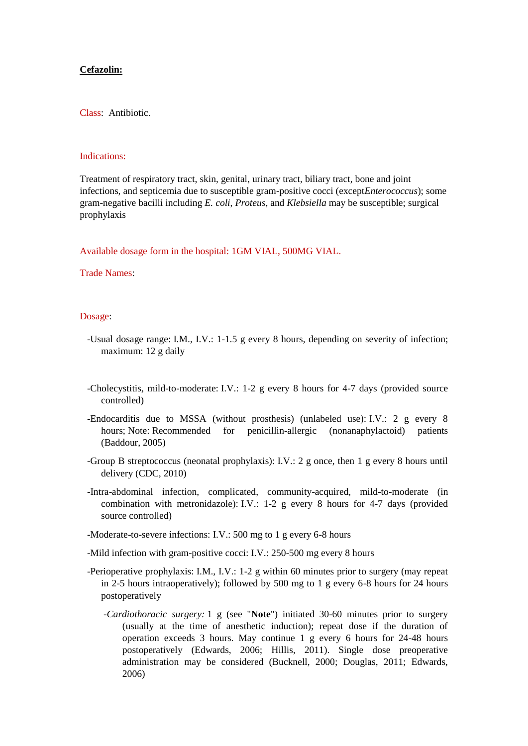## **Cefazolin:**

Class: Antibiotic.

#### Indications:

Treatment of respiratory tract, skin, genital, urinary tract, biliary tract, bone and joint infections, and septicemia due to susceptible gram-positive cocci (except*Enterococcus*); some gram-negative bacilli including *E. coli*, *Proteus*, and *Klebsiella* may be susceptible; surgical prophylaxis

Available dosage form in the hospital: 1GM VIAL, 500MG VIAL.

## Trade Names:

# Dosage:

- -Usual dosage range: I.M., I.V.: 1-1.5 g every 8 hours, depending on severity of infection; maximum: 12 g daily
- -Cholecystitis, mild-to-moderate: I.V.: 1-2 g every 8 hours for 4-7 days (provided source controlled)
- -Endocarditis due to MSSA (without prosthesis) (unlabeled use): I.V.: 2 g every 8 hours; Note: Recommended for penicillin-allergic (nonanaphylactoid) patients (Baddour, 2005)
- -Group B streptococcus (neonatal prophylaxis): I.V.: 2 g once, then 1 g every 8 hours until delivery (CDC, 2010)
- -Intra-abdominal infection, complicated, community-acquired, mild-to-moderate (in combination with metronidazole): I.V.: 1-2 g every 8 hours for 4-7 days (provided source controlled)
- -Moderate-to-severe infections: I.V.: 500 mg to 1 g every 6-8 hours
- -Mild infection with gram-positive cocci: I.V.: 250-500 mg every 8 hours
- -Perioperative prophylaxis: I.M., I.V.: 1-2 g within 60 minutes prior to surgery (may repeat in 2-5 hours intraoperatively); followed by 500 mg to 1 g every 6-8 hours for 24 hours postoperatively
	- *-Cardiothoracic surgery:* 1 g (see "**Note**") initiated 30-60 minutes prior to surgery (usually at the time of anesthetic induction); repeat dose if the duration of operation exceeds 3 hours. May continue 1 g every 6 hours for 24-48 hours postoperatively (Edwards, 2006; Hillis, 2011). Single dose preoperative administration may be considered (Bucknell, 2000; Douglas, 2011; Edwards, 2006)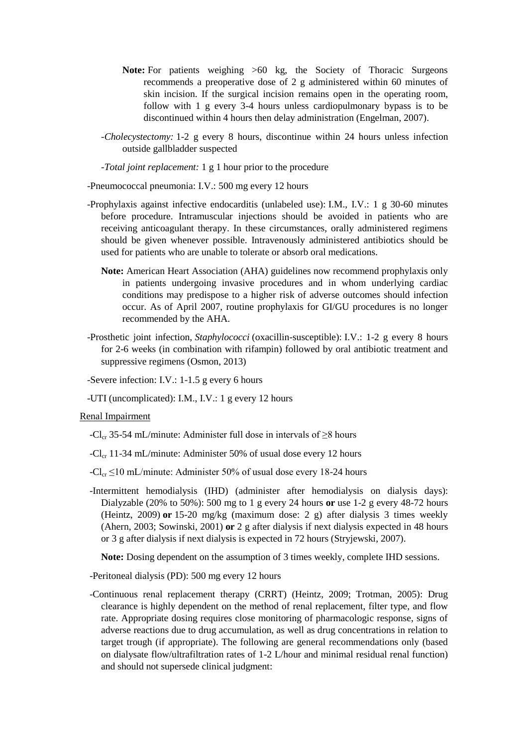- **Note:** For patients weighing >60 kg, the Society of Thoracic Surgeons recommends a preoperative dose of 2 g administered within 60 minutes of skin incision. If the surgical incision remains open in the operating room, follow with 1 g every 3-4 hours unless cardiopulmonary bypass is to be discontinued within 4 hours then delay administration (Engelman, 2007).
- *-Cholecystectomy:* 1-2 g every 8 hours, discontinue within 24 hours unless infection outside gallbladder suspected
- *-Total joint replacement:* 1 g 1 hour prior to the procedure
- -Pneumococcal pneumonia: I.V.: 500 mg every 12 hours
- -Prophylaxis against infective endocarditis (unlabeled use): I.M., I.V.: 1 g 30-60 minutes before procedure. Intramuscular injections should be avoided in patients who are receiving anticoagulant therapy. In these circumstances, orally administered regimens should be given whenever possible. Intravenously administered antibiotics should be used for patients who are unable to tolerate or absorb oral medications.
	- **Note:** American Heart Association (AHA) guidelines now recommend prophylaxis only in patients undergoing invasive procedures and in whom underlying cardiac conditions may predispose to a higher risk of adverse outcomes should infection occur. As of April 2007, routine prophylaxis for GI/GU procedures is no longer recommended by the AHA.
- -Prosthetic joint infection, *Staphylococci* (oxacillin-susceptible): I.V.: 1-2 g every 8 hours for 2-6 weeks (in combination with rifampin) followed by oral antibiotic treatment and suppressive regimens (Osmon, 2013)
- -Severe infection: I.V.: 1-1.5 g every 6 hours
- -UTI (uncomplicated): I.M., I.V.: 1 g every 12 hours

#### Renal Impairment

- -Cl<sub>cr</sub> 35-54 mL/minute: Administer full dose in intervals of  $\geq$ 8 hours
- $-Cl_{cr}$  11-34 mL/minute: Administer 50% of usual dose every 12 hours
- $-Cl_{cr} \leq 10$  mL/minute: Administer 50% of usual dose every 18-24 hours
- -Intermittent hemodialysis (IHD) (administer after hemodialysis on dialysis days): Dialyzable (20% to 50%): 500 mg to 1 g every 24 hours **or** use 1-2 g every 48-72 hours (Heintz, 2009) **or** 15-20 mg/kg (maximum dose: 2 g) after dialysis 3 times weekly (Ahern, 2003; Sowinski, 2001) **or** 2 g after dialysis if next dialysis expected in 48 hours or 3 g after dialysis if next dialysis is expected in 72 hours (Stryjewski, 2007).

**Note:** Dosing dependent on the assumption of 3 times weekly, complete IHD sessions.

-Peritoneal dialysis (PD): 500 mg every 12 hours

 -Continuous renal replacement therapy (CRRT) (Heintz, 2009; Trotman, 2005): Drug clearance is highly dependent on the method of renal replacement, filter type, and flow rate. Appropriate dosing requires close monitoring of pharmacologic response, signs of adverse reactions due to drug accumulation, as well as drug concentrations in relation to target trough (if appropriate). The following are general recommendations only (based on dialysate flow/ultrafiltration rates of 1-2 L/hour and minimal residual renal function) and should not supersede clinical judgment: